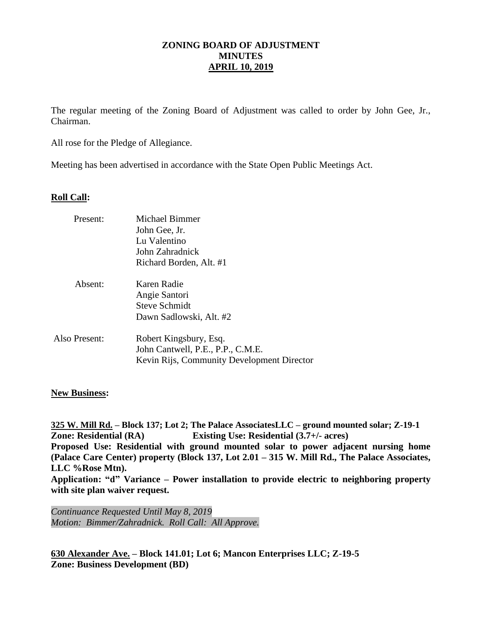## **ZONING BOARD OF ADJUSTMENT MINUTES APRIL 10, 2019**

The regular meeting of the Zoning Board of Adjustment was called to order by John Gee, Jr., Chairman.

All rose for the Pledge of Allegiance.

Meeting has been advertised in accordance with the State Open Public Meetings Act.

## **Roll Call:**

| Present:      | Michael Bimmer<br>John Gee, Jr.<br>Lu Valentino<br>John Zahradnick<br>Richard Borden, Alt. #1             |
|---------------|-----------------------------------------------------------------------------------------------------------|
| Absent:       | Karen Radie<br>Angie Santori<br><b>Steve Schmidt</b><br>Dawn Sadlowski, Alt. #2                           |
| Also Present: | Robert Kingsbury, Esq.<br>John Cantwell, P.E., P.P., C.M.E.<br>Kevin Rijs, Community Development Director |

## **New Business:**

**325 W. Mill Rd. – Block 137; Lot 2; The Palace AssociatesLLC – ground mounted solar; Z-19-1 Zone: Residential (RA) Existing Use: Residential (3.7+/- acres) Proposed Use: Residential with ground mounted solar to power adjacent nursing home (Palace Care Center) property (Block 137, Lot 2.01 – 315 W. Mill Rd., The Palace Associates, LLC %Rose Mtn). Application: "d" Variance – Power installation to provide electric to neighboring property with site plan waiver request.**

*Continuance Requested Until May 8, 2019 Motion: Bimmer/Zahradnick. Roll Call: All Approve.*

**630 Alexander Ave. – Block 141.01; Lot 6; Mancon Enterprises LLC; Z-19-5 Zone: Business Development (BD)**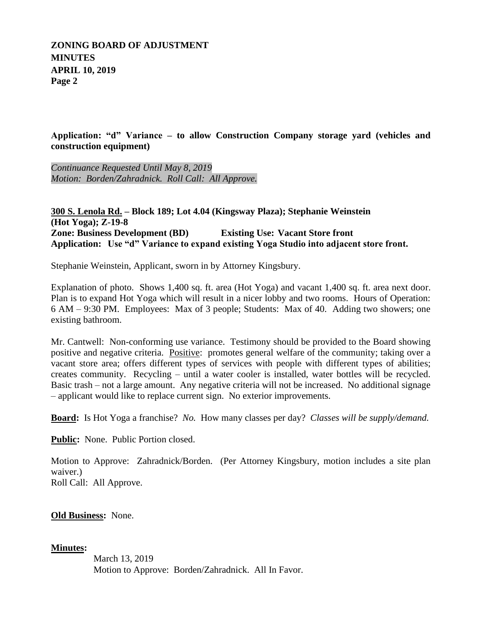# **ZONING BOARD OF ADJUSTMENT MINUTES APRIL 10, 2019 Page 2**

**Application: "d" Variance – to allow Construction Company storage yard (vehicles and construction equipment)**

*Continuance Requested Until May 8, 2019 Motion: Borden/Zahradnick. Roll Call: All Approve.*

## **300 S. Lenola Rd. – Block 189; Lot 4.04 (Kingsway Plaza); Stephanie Weinstein (Hot Yoga); Z-19-8 Zone: Business Development (BD) Existing Use: Vacant Store front Application: Use "d" Variance to expand existing Yoga Studio into adjacent store front.**

Stephanie Weinstein, Applicant, sworn in by Attorney Kingsbury.

Explanation of photo. Shows 1,400 sq. ft. area (Hot Yoga) and vacant 1,400 sq. ft. area next door. Plan is to expand Hot Yoga which will result in a nicer lobby and two rooms. Hours of Operation: 6 AM – 9:30 PM. Employees: Max of 3 people; Students: Max of 40. Adding two showers; one existing bathroom.

Mr. Cantwell: Non-conforming use variance. Testimony should be provided to the Board showing positive and negative criteria. Positive: promotes general welfare of the community; taking over a vacant store area; offers different types of services with people with different types of abilities; creates community. Recycling – until a water cooler is installed, water bottles will be recycled. Basic trash – not a large amount. Any negative criteria will not be increased. No additional signage – applicant would like to replace current sign. No exterior improvements.

**Board:** Is Hot Yoga a franchise? *No.* How many classes per day? *Classes will be supply/demand.*

**Public:** None. Public Portion closed.

Motion to Approve: Zahradnick/Borden. (Per Attorney Kingsbury, motion includes a site plan waiver.) Roll Call: All Approve.

**Old Business:** None.

## **Minutes:**

March 13, 2019 Motion to Approve: Borden/Zahradnick. All In Favor.